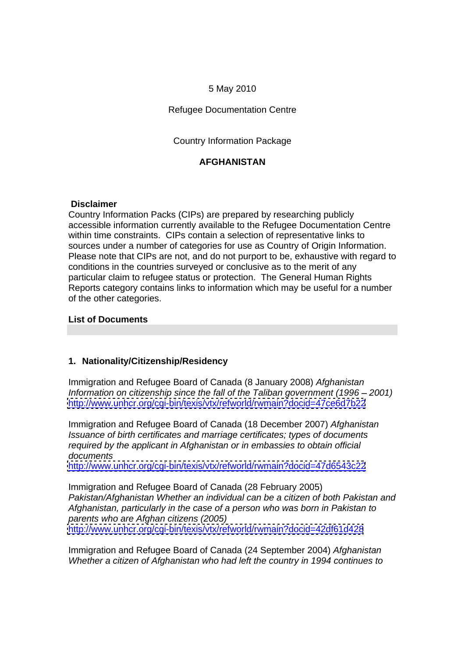### 5 May 2010

Refugee Documentation Centre

Country Information Package

### **AFGHANISTAN**

### **Disclaimer**

Country Information Packs (CIPs) are prepared by researching publicly accessible information currently available to the Refugee Documentation Centre within time constraints. CIPs contain a selection of representative links to sources under a number of categories for use as Country of Origin Information. Please note that CIPs are not, and do not purport to be, exhaustive with regard to conditions in the countries surveyed or conclusive as to the merit of any particular claim to refugee status or protection. The General Human Rights Reports category contains links to information which may be useful for a number of the other categories.

### **List of Documents**

### **1. Nationality/Citizenship/Residency**

Immigration and Refugee Board of Canada (8 January 2008) Afghanistan Information on citizenship since the fall of the Taliban government  $(1996 - 2001)$ <http://www.unhcr.org/cgi-bin/texis/vtx/refworld/rwmain?docid=47ce6d7b22>

Immigration and Refugee Board of Canada (18 December 2007) Afghanistan Issuance of birth certificates and marriage certificates; types of documents required by the applicant in Afghanistan or in embassies to obtain official documents and the contract of the contract of the contract of the contract of the contract of the contract of the contract of the contract of the contract of the contract of the contract of the contract of the contract of

<http://www.unhcr.org/cgi-bin/texis/vtx/refworld/rwmain?docid=47d6543c22>

Immigration and Refugee Board of Canada (28 February 2005) Pakistan/Afghanistan Whether an individual can be a citizen of both Pakistan and Afghanistan, particularly in the case of a person who was born in Pakistan to parents who are Afghan citizens (2005) <http://www.unhcr.org/cgi-bin/texis/vtx/refworld/rwmain?docid=42df61d428>

Immigration and Refugee Board of Canada (24 September 2004) Afghanistan Whether a citizen of Afghanistan who had left the country in 1994 continues to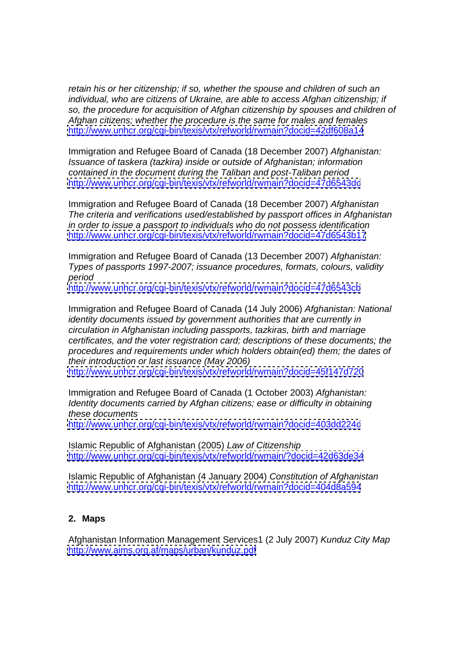retain his or her citizenship; if so, whether the spouse and children of such an individual, who are citizens of Ukraine, are able to access Afghan citizenship; if so, the procedure for acquisition of Afghan citizenship by spouses and children of Afghan citizens; whether the procedure is the same for males and females <http://www.unhcr.org/cgi-bin/texis/vtx/refworld/rwmain?docid=42df608a14>

Immigration and Refugee Board of Canada (18 December 2007) Afghanistan: Issuance of taskera (tazkira) inside or outside of Afghanistan; information contained in the document during the Taliban and post-Taliban period <http://www.unhcr.org/cgi-bin/texis/vtx/refworld/rwmain?docid=47d6543dc>

Immigration and Refugee Board of Canada (18 December 2007) Afghanistan The criteria and verifications used/established by passport offices in Afghanistan in order to issue a passport to individuals who do not possess identification <http://www.unhcr.org/cgi-bin/texis/vtx/refworld/rwmain?docid=47d6543b17>

Immigration and Refugee Board of Canada (13 December 2007) Afghanistan: Types of passports 1997-2007; issuance procedures, formats, colours, validity period

<http://www.unhcr.org/cgi-bin/texis/vtx/refworld/rwmain?docid=47d6543cb>

Immigration and Refugee Board of Canada (14 July 2006) Afghanistan: National identity documents issued by government authorities that are currently in circulation in Afghanistan including passports, tazkiras, birth and marriage certificates, and the voter registration card; descriptions of these documents; the procedures and requirements under which holders obtain(ed) them; the dates of their introduction or last issuance (May 2006) <http://www.unhcr.org/cgi-bin/texis/vtx/refworld/rwmain?docid=45f147d720>

Immigration and Refugee Board of Canada (1 October 2003) Afghanistan: Identity documents carried by Afghan citizens; ease or difficulty in obtaining these documents <http://www.unhcr.org/cgi-bin/texis/vtx/refworld/rwmain?docid=403dd224c>

Islamic Republic of Afghanistan (2005) Law of Citizenship <http://www.unhcr.org/cgi-bin/texis/vtx/refworld/rwmain/?docid=42d63de34>

Islamic Republic of Afghanistan (4 January 2004) Constitution of Afghanistan <http://www.unhcr.org/cgi-bin/texis/vtx/refworld/rwmain?docid=404d8a594>

## **2. Maps**

Afghanistan Information Management Services1 (2 July 2007) Kunduz City Map <http://www.aims.org.af/maps/urban/kunduz.pdf>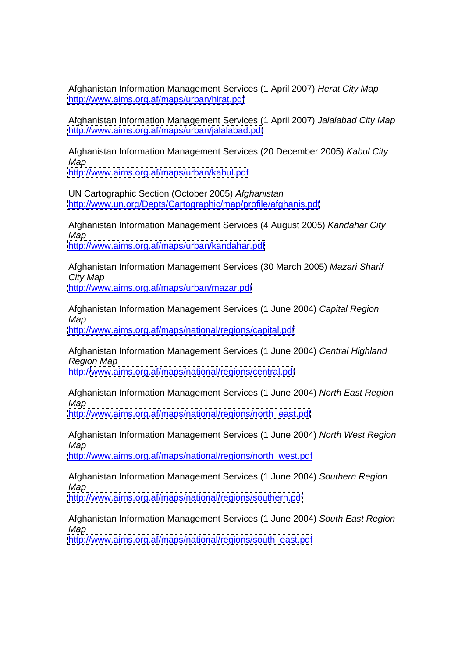Afghanistan Information Management Services (1 April 2007) Herat City Map <http://www.aims.org.af/maps/urban/hirat.pdf>

Afghanistan Information Management Services (1 April 2007) Jalalabad City Map <http://www.aims.org.af/maps/urban/jalalabad.pdf>

Afghanistan Information Management Services (20 December 2005) Kabul City Map

<http://www.aims.org.af/maps/urban/kabul.pdf>

UN Cartographic Section (October 2005) Afghanistan <http://www.un.org/Depts/Cartographic/map/profile/afghanis.pdf>

Afghanistan Information Management Services (4 August 2005) Kandahar City Map <http://www.aims.org.af/maps/urban/kandahar.pdf>

Afghanistan Information Management Services (30 March 2005) Mazari Sharif City Map

<http://www.aims.org.af/maps/urban/mazar.pdf>

Afghanistan Information Management Services (1 June 2004) Capital Region Map <http://www.aims.org.af/maps/national/regions/capital.pdf>

Afghanistan Information Management Services (1 June 2004) Central Highland Region Map

http:/[/www.aims.org.af/maps/national/regions/central.pdf](http://www.aims.org.af/maps/national/regions/central.pdf)

Afghanistan Information Management Services (1 June 2004) North East Region Map

[http://www.aims.org.af/maps/national/regions/north\\_east.pdf](http://www.aims.org.af/maps/national/regions/north_east.pdf)

Afghanistan Information Management Services (1 June 2004) North West Region Map

[http://www.aims.org.af/maps/national/regions/north\\_west.pdf](http://www.aims.org.af/maps/national/regions/north_west.pdf)

Afghanistan Information Management Services (1 June 2004) Southern Region Map

<http://www.aims.org.af/maps/national/regions/southern.pdf>

Afghanistan Information Management Services (1 June 2004) South East Region Map

[http://www.aims.org.af/maps/national/regions/south\\_east.pdf](http://www.aims.org.af/maps/national/regions/south_east.pdf)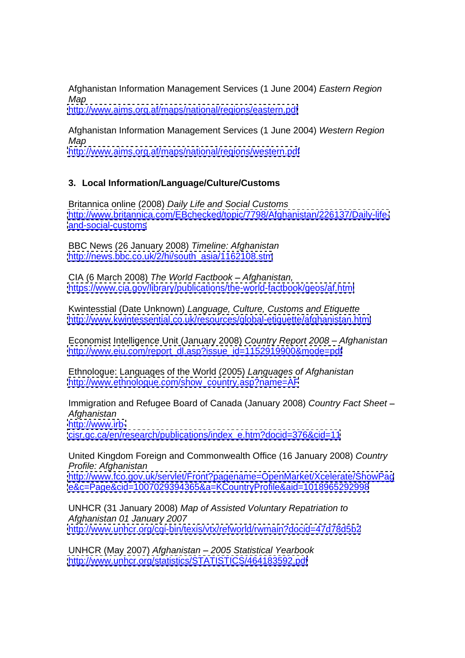Afghanistan Information Management Services (1 June 2004) Eastern Region Map

<http://www.aims.org.af/maps/national/regions/eastern.pdf>

Afghanistan Information Management Services (1 June 2004) Western Region Map

<http://www.aims.org.af/maps/national/regions/western.pdf>

# **3. Local Information/Language/Culture/Customs**

Britannica online (2008) Daily Life and Social Customs [http://www.britannica.com/EBchecked/topic/7798/Afghanistan/226137/Daily-life](http://www.britannica.com/EBchecked/topic/7798/Afghanistan/226137/Daily-life-) <and-social-customs>

BBC News (26 January 2008) Timeline: Afghanistan [http://news.bbc.co.uk/2/hi/south\\_asia/1162108.stm](http://news.bbc.co.uk/2/hi/south_asia/1162108.stm)

CIA (6 March 2008) The World Factbook - Afghanistan, <https://www.cia.gov/library/publications/the-world-factbook/geos/af.html>

Kwintesstial (Date Unknown) Language, Culture, Customs and Etiquette <http://www.kwintessential.co.uk/resources/global-etiquette/afghanistan.html>

Economist Intelligence Unit (January 2008) Country Report 2008 - Afghanistan [http://www.eiu.com/report\\_dl.asp?issue\\_id=1152919900&mode=pdf](http://www.eiu.com/report_dl.asp?issue_id=1152919900&mode=pdf)

Ethnologue: Languages of the World (2005) Languages of Afghanistan [http://www.ethnologue.com/show\\_country.asp?name=AF](http://www.ethnologue.com/show_country.asp?name=AF)

Immigration and Refugee Board of Canada (January 2008) Country Fact Sheet Afghanistan [http://www.irb](http://www.irb-) [cisr.gc.ca/en/research/publications/index\\_e.htm?docid=376&cid=11](cisr.gc.ca/en/research/publications/index_e.htm?docid=376&cid=11)

United Kingdom Foreign and Commonwealth Office (16 January 2008) Country Profile: Afghanistan

<http://www.fco.gov.uk/servlet/Front?pagename=OpenMarket/Xcelerate/ShowPag> <e&c=Page&cid=1007029394365&a=KCountryProfile&aid=1018965292998>

UNHCR (31 January 2008) Map of Assisted Voluntary Repatriation to Afghanistan 01 January 2007 <http://www.unhcr.org/cgi-bin/texis/vtx/refworld/rwmain?docid=47d78d5b2>

UNHCR (May 2007) Afghanistan 2005 Statistical Yearbook <http://www.unhcr.org/statistics/STATISTICS/464183592.pdf>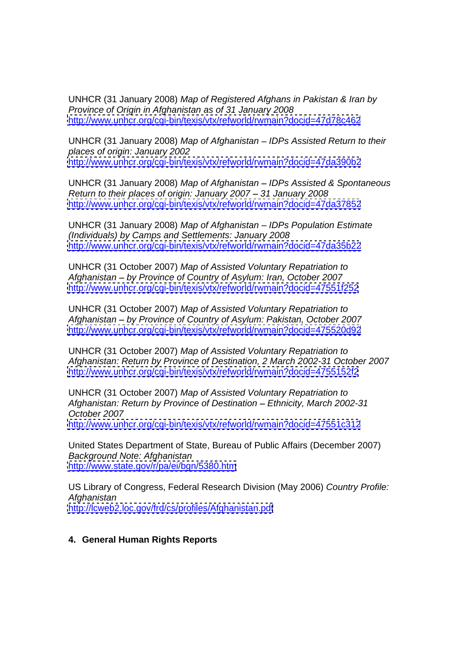UNHCR (31 January 2008) Map of Registered Afghans in Pakistan & Iran by Province of Origin in Afghanistan as of 31 January 2008 <http://www.unhcr.org/cgi-bin/texis/vtx/refworld/rwmain?docid=47d78c462>

UNHCR (31 January 2008) Map of Afghanistan - IDPs Assisted Return to their places of origin: January 2002 <http://www.unhcr.org/cgi-bin/texis/vtx/refworld/rwmain?docid=47da390b2>

UNHCR (31 January 2008) Map of Afghanistan - IDPs Assisted & Spontaneous Return to their places of origin: January 2007 - 31 January 2008 <http://www.unhcr.org/cgi-bin/texis/vtx/refworld/rwmain?docid=47da37852>

UNHCR (31 January 2008) Map of Afghanistan - IDPs Population Estimate (Individuals) by Camps and Settlements: January 2008 <http://www.unhcr.org/cgi-bin/texis/vtx/refworld/rwmain?docid=47da35b22>

UNHCR (31 October 2007) Map of Assisted Voluntary Repatriation to Afghanistan - by Province of Country of Asylum: Iran, October 2007 <http://www.unhcr.org/cgi-bin/texis/vtx/refworld/rwmain?docid=47551f252>

UNHCR (31 October 2007) Map of Assisted Voluntary Repatriation to Afghanistan - by Province of Country of Asylum: Pakistan, October 2007 <http://www.unhcr.org/cgi-bin/texis/vtx/refworld/rwmain?docid=475520d92>

UNHCR (31 October 2007) Map of Assisted Voluntary Repatriation to Afghanistan: Return by Province of Destination, 2 March 2002-31 October 2007 <http://www.unhcr.org/cgi-bin/texis/vtx/refworld/rwmain?docid=4755152f2>

UNHCR (31 October 2007) Map of Assisted Voluntary Repatriation to Afghanistan: Return by Province of Destination - Ethnicity, March 2002-31 October 2007 <http://www.unhcr.org/cgi-bin/texis/vtx/refworld/rwmain?docid=47551c312>

United States Department of State, Bureau of Public Affairs (December 2007) Background Note: Afghanistan <http://www.state.gov/r/pa/ei/bgn/5380.htm>

US Library of Congress, Federal Research Division (May 2006) Country Profile: Afghanistan <http://lcweb2.loc.gov/frd/cs/profiles/Afghanistan.pdf>

### **4. General Human Rights Reports**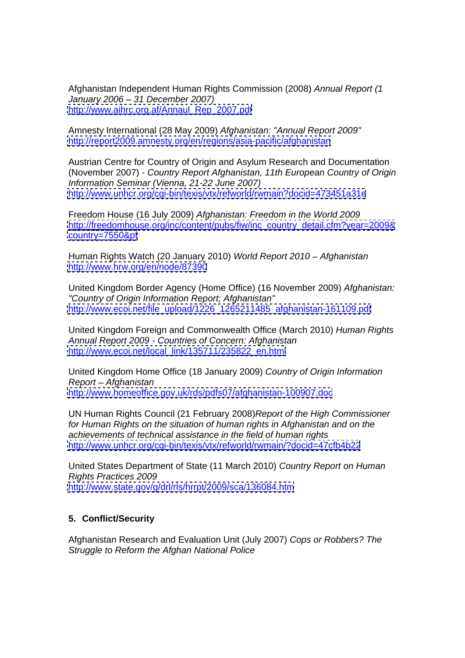Afghanistan Independent Human Rights Commission (2008) Annual Report (1 January 2006 31 December 2007) [http://www.aihrc.org.af/Annaul\\_Rep\\_2007.pdf](http://www.aihrc.org.af/Annaul_Rep_2007.pdf)

Amnesty International (28 May 2009) Afghanistan: "Annual Report 2009" <http://report2009.amnesty.org/en/regions/asia-pacific/afghanistan>

Austrian Centre for Country of Origin and Asylum Research and Documentation (November 2007) - Country Report Afghanistan, 11th European Country of Origin Information Seminar (Vienna, 21-22 June 2007) <http://www.unhcr.org/cgi-bin/texis/vtx/refworld/rwmain?docid=473451a31e>

Freedom House (16 July 2009) Afghanistan: Freedom in the World 2009 [http://freedomhouse.org/inc/content/pubs/fiw/inc\\_country\\_detail.cfm?year=2009&](http://freedomhouse.org/inc/content/pubs/fiw/inc_country_detail.cfm?year=2009&) <country=7550&pf>

Human Rights Watch (20 January 2010) World Report 2010 - Afghanistan <http://www.hrw.org/en/node/87390>

United Kingdom Border Agency (Home Office) (16 November 2009) Afghanistan: "Country of Origin Information Report; Afghanistan" [http://www.ecoi.net/file\\_upload/1226\\_1265211485\\_afghanistan-161109.pdf](http://www.ecoi.net/file_upload/1226_1265211485_afghanistan-161109.pdf)

United Kingdom Foreign and Commonwealth Office (March 2010) Human Rights Annual Report 2009 - Countries of Concern: Afghanistan [http://www.ecoi.net/local\\_link/135711/235822\\_en.html](http://www.ecoi.net/local_link/135711/235822_en.html)

United Kingdom Home Office (18 January 2009) Country of Origin Information Report – Afghanistan and a structure of the structure of the structure of the structure of the structure of the structure of the structure of the structure of the structure of the structure of the structure of the structur <http://www.homeoffice.gov.uk/rds/pdfs07/afghanistan-100907.doc>

UN Human Rights Council (21 February 2008)Report of the High Commissioner for Human Rights on the situation of human rights in Afghanistan and on the achievements of technical assistance in the field of human rights <http://www.unhcr.org/cgi-bin/texis/vtx/refworld/rwmain/?docid=47cfb4b22>

United States Department of State (11 March 2010) Country Report on Human Rights Practices 2009 <http://www.state.gov/g/drl/rls/hrrpt/2009/sca/136084.htm>

## **5. Conflict/Security**

Afghanistan Research and Evaluation Unit (July 2007) Cops or Robbers? The Struggle to Reform the Afghan National Police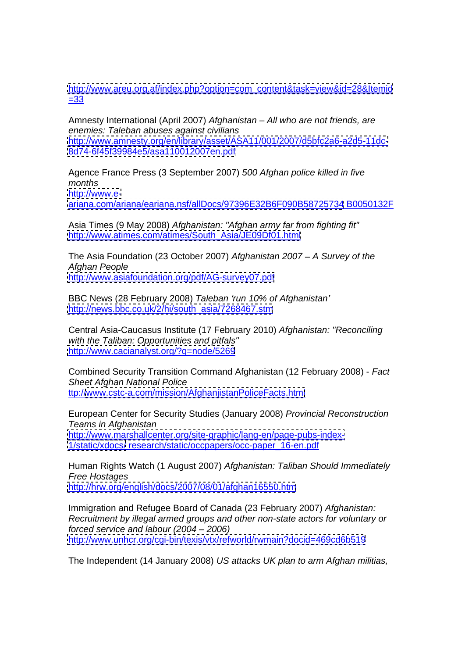[http://www.areu.org.af/index.php?option=com\\_content&task=view&id=28&Itemid](http://www.areu.org.af/index.php?option=com_content&task=view&id=28&Itemid)  $\frac{-33}{2}$ 

Amnesty International (April 2007) Afghanistan – All who are not friends, are enemies: Taleban abuses against civilians <http://www.amnesty.org/en/library/asset/ASA11/001/2007/d5bfc2a6-a2d5-11dc-> <8d74-6f45f39984e5/asa110012007en.pdf>

Agence France Press (3 September 2007) 500 Afghan police killed in five months <http://www.e->

<ariana.com/ariana/eariana.nsf/allDocs/97396E32B6F090B58725734> B0050132F

Asia Times (9 May 2008) Afghanistan: "Afghan army far from fighting fit" [http://www.atimes.com/atimes/South\\_Asia/JE09Df01.html](http://www.atimes.com/atimes/South_Asia/JE09Df01.html)

The Asia Foundation (23 October 2007) Afghanistan 2007 - A Survey of the Afghan People <http://www.asiafoundation.org/pdf/AG-survey07.pdf>

BBC News (28 February 2008) Taleban 'run 10% of Afghanistan' [http://news.bbc.co.uk/2/hi/south\\_asia/7268467.stm](http://news.bbc.co.uk/2/hi/south_asia/7268467.stm)

Central Asia-Caucasus Institute (17 February 2010) Afghanistan: "Reconciling with the Taliban: Opportunities and pitfals" <http://www.cacianalyst.org/?q=node/5269>

Combined Security Transition Command Afghanistan (12 February 2008) - Fact Sheet Afghan National Police ttp:/[/www.cstc-a.com/mission/AfghanjistanPoliceFacts.html](http://www.cstc-a.com/mission/AfghanjistanPoliceFacts.html)

European Center for Security Studies (January 2008) Provincial Reconstruction Teams in Afghanistan <http://www.marshallcenter.org/site-graphic/lang-en/page-pubs-index-> <1/static/xdocs/> research/static/occpapers/occ-paper\_16-en.pdf

Human Rights Watch (1 August 2007) Afghanistan: Taliban Should Immediately Free Hostages <http://hrw.org/english/docs/2007/08/01/afghan16550.htm>

Immigration and Refugee Board of Canada (23 February 2007) Afghanistan: Recruitment by illegal armed groups and other non-state actors for voluntary or forced service and labour  $(2004 - 2006)$ <http://www.unhcr.org/cgi-bin/texis/vtx/refworld/rwmain?docid=469cd6b519>

The Independent (14 January 2008) US attacks UK plan to arm Afghan militias,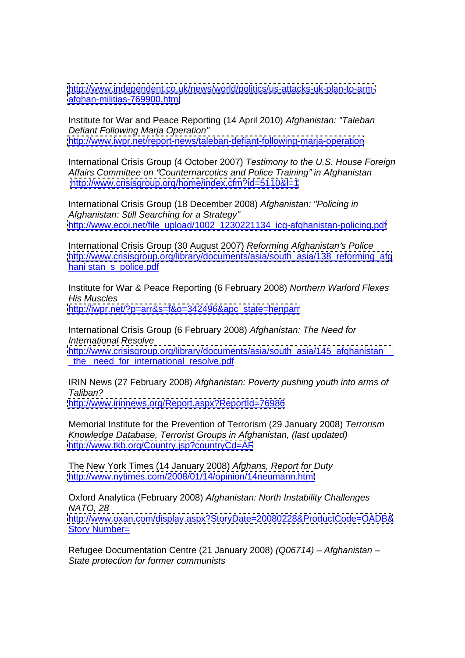[http://www.independent.co.uk/news/world/politics/us-attacks-uk-plan-to-arm](http://www.independent.co.uk/news/world/politics/us-attacks-uk-plan-to-arm-) <afghan-militias-769900.html>

Institute for War and Peace Reporting (14 April 2010) Afghanistan: "Taleban Defiant Following Marja Operation" <http://www.iwpr.net/report-news/taleban-defiant-following-marja-operation>

International Crisis Group (4 October 2007) Testimony to the U.S. House Foreign Affairs Committee on "Counternarcotics and Police Training" in Afghanistan <http://www.crisisgroup.org/home/index.cfm?id=5110&l=1>

International Crisis Group (18 December 2008) Afghanistan: "Policing in Afghanistan: Still Searching for a Strategy" [http://www.ecoi.net/file\\_upload/1002\\_1230221134\\_icg-afghanistan-policing.pdf](http://www.ecoi.net/file_upload/1002_1230221134_icg-afghanistan-policing.pdf)

International Crisis Group (30 August 2007) Reforming Afghanistan's Police [http://www.crisisgroup.org/library/documents/asia/south\\_asia/138\\_reforming\\_afg](http://www.crisisgroup.org/library/documents/asia/south_asia/138_reforming_afg) hani stan\_s\_police.pdf

Institute for War & Peace Reporting (6 February 2008) Northern Warlord Flexes His Muscles

[http://iwpr.net/?p=arr&s=f&o=342496&apc\\_state=henparr](http://iwpr.net/?p=arr&s=f&o=342496&apc_state=henparr)

International Crisis Group (6 February 2008) Afghanistan: The Need for International Resolve http://www.crisisgroup.org/library/documents/asia/south\_asia/145\_afghanistan the need for international resolve.pdf

IRIN News (27 February 2008) Afghanistan: Poverty pushing youth into arms of Taliban?

<http://www.irinnews.org/Report.aspx?ReportId=76986>

Memorial Institute for the Prevention of Terrorism (29 January 2008) Terrorism Knowledge Database, Terrorist Groups in Afghanistan, (last updated) <http://www.tkb.org/Country.jsp?countryCd=AF>

The New York Times (14 January 2008) Afghans, Report for Duty <http://www.nytimes.com/2008/01/14/opinion/14neumann.html>

Oxford Analytica (February 2008) Afghanistan: North Instability Challenges NATO, 28 <http://www.oxan.com/display.aspx?StoryDate=20080228&ProductCode=OADB&><br>Story Number= Story Number= and the state of the state of the state of the state of the state of the state of the state of the state of the state of the state of the state of the state of the state of the state of the state of the state

Refugee Documentation Centre (21 January 2008) (Q06714) - Afghanistan -State protection for former communists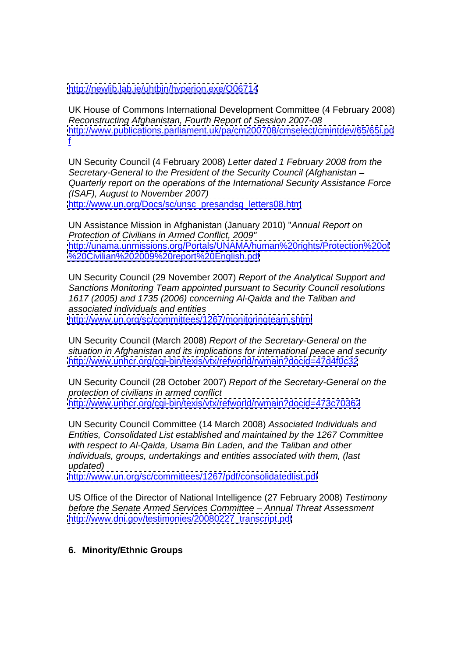<http://newlib.lab.ie/uhtbin/hyperion.exe/Q06714>

UK House of Commons International Development Committee (4 February 2008) Reconstructing Afghanistan, Fourth Report of Session 2007-08 <http://www.publications.parliament.uk/pa/cm200708/cmselect/cmintdev/65/65i.pd>  $\frac{f}{\sqrt{2}}$  . The contract of the contract of the contract of the contract of the contract of the contract of the contract of the contract of the contract of the contract of the contract of the contract of the contract o

UN Security Council (4 February 2008) Letter dated 1 February 2008 from the Secretary-General to the President of the Security Council (Afghanistan Quarterly report on the operations of the International Security Assistance Force (ISAF), August to November 2007) [http://www.un.org/Docs/sc/unsc\\_presandsg\\_letters08.htm](http://www.un.org/Docs/sc/unsc_presandsg_letters08.htm)

UN Assistance Mission in Afghanistan (January 2010) "Annual Report on Protection of Civilians in Armed Conflict, 2009" <http://unama.unmissions.org/Portals/UNAMA/human%20rights/Protection%20of> <%20Civilian%202009%20report%20English.pdf>

UN Security Council (29 November 2007) Report of the Analytical Support and Sanctions Monitoring Team appointed pursuant to Security Council resolutions 1617 (2005) and 1735 (2006) concerning Al-Qaida and the Taliban and associated individuals and entities <http://www.un.org/sc/committees/1267/monitoringteam.shtml>

UN Security Council (March 2008) Report of the Secretary-General on the situation in Afghanistan and its implications for international peace and security <http://www.unhcr.org/cgi-bin/texis/vtx/refworld/rwmain?docid=47d4f0c32>

UN Security Council (28 October 2007) Report of the Secretary-General on the protection of civilians in armed conflict <http://www.unhcr.org/cgi-bin/texis/vtx/refworld/rwmain?docid=473c70362>

UN Security Council Committee (14 March 2008) Associated Individuals and Entities, Consolidated List established and maintained by the 1267 Committee with respect to Al-Qaida, Usama Bin Laden, and the Taliban and other individuals, groups, undertakings and entities associated with them, (last updated)

<http://www.un.org/sc/committees/1267/pdf/consolidatedlist.pdf>

US Office of the Director of National Intelligence (27 February 2008) Testimony before the Senate Armed Services Committee - Annual Threat Assessment [http://www.dni.gov/testimonies/20080227\\_transcript.pdf](http://www.dni.gov/testimonies/20080227_transcript.pdf)

## **6. Minority/Ethnic Groups**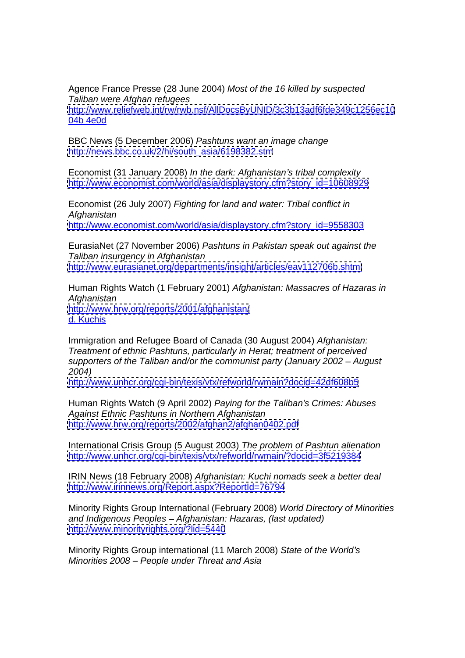Agence France Presse (28 June 2004) Most of the 16 killed by suspected Taliban were Afghan refugees <http://www.reliefweb.int/rw/rwb.nsf/AllDocsByUNID/3c3b13adf6fde349c1256ec10> 04b 4e0d

BBC News (5 December 2006) Pashtuns want an image change [http://news.bbc.co.uk/2/hi/south\\_asia/6198382.stm](http://news.bbc.co.uk/2/hi/south_asia/6198382.stm)

Economist (31 January 2008) In the dark: Afghanistan's tribal complexity [http://www.economist.com/world/asia/displaystory.cfm?story\\_id=10608929](http://www.economist.com/world/asia/displaystory.cfm?story_id=10608929)

Economist (26 July 2007) Fighting for land and water: Tribal conflict in Afghanistan [http://www.economist.com/world/asia/displaystory.cfm?story\\_id=9558303](http://www.economist.com/world/asia/displaystory.cfm?story_id=9558303)

EurasiaNet (27 November 2006) Pashtuns in Pakistan speak out against the Taliban insurgency in Afghanistan <http://www.eurasianet.org/departments/insight/articles/eav112706b.shtml>

Human Rights Watch (1 February 2001) Afghanistan: Massacres of Hazaras in Afghanistan <http://www.hrw.org/reports/2001/afghanistan/> d. Kuchis and the control of the control of the control of the control of the control of the control of the control of the control of the control of the control of the control of the control of the control of the control o

Immigration and Refugee Board of Canada (30 August 2004) Afghanistan: Treatment of ethnic Pashtuns, particularly in Herat; treatment of perceived supporters of the Taliban and/or the communist party (January 2002 – August 2004)

<http://www.unhcr.org/cgi-bin/texis/vtx/refworld/rwmain?docid=42df608b5>

Human Rights Watch (9 April 2002) Paying for the Taliban's Crimes: Abuses Against Ethnic Pashtuns in Northern Afghanistan <http://www.hrw.org/reports/2002/afghan2/afghan0402.pdf>

International Crisis Group (5 August 2003) The problem of Pashtun alienation <http://www.unhcr.org/cgi-bin/texis/vtx/refworld/rwmain/?docid=3f5219384>

IRIN News (18 February 2008) Afghanistan: Kuchi nomads seek a better deal <http://www.irinnews.org/Report.aspx?ReportId=76794>

Minority Rights Group International (February 2008) World Directory of Minorities and Indigenous Peoples - Afghanistan: Hazaras, (last updated) <http://www.minorityrights.org/?lid=5440>

Minority Rights Group international (11 March 2008) State of the World's Minorities 2008 – People under Threat and Asia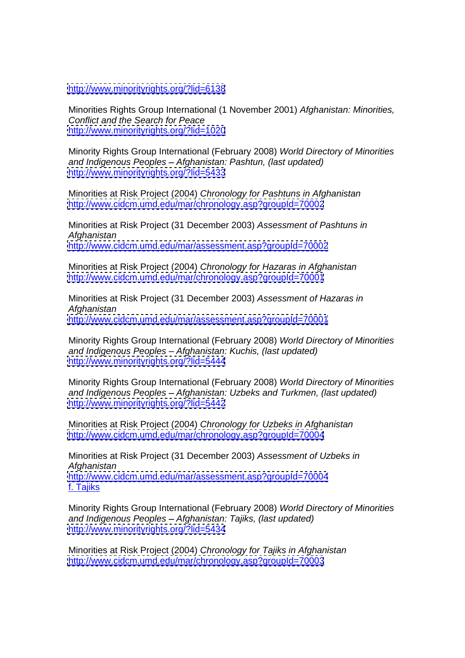<http://www.minorityrights.org/?lid=6138>

Minorities Rights Group International (1 November 2001) Afghanistan: Minorities, Conflict and the Search for Peace <http://www.minorityrights.org/?lid=1020>

Minority Rights Group International (February 2008) World Directory of Minorities and Indigenous Peoples - Afghanistan: Pashtun, (last updated) <http://www.minorityrights.org/?lid=5433>

Minorities at Risk Project (2004) Chronology for Pashtuns in Afghanistan <http://www.cidcm.umd.edu/mar/chronology.asp?groupId=70002>

Minorities at Risk Project (31 December 2003) Assessment of Pashtuns in Afghanistan <http://www.cidcm.umd.edu/mar/assessment.asp?groupId=70002>

Minorities at Risk Project (2004) Chronology for Hazaras in Afghanistan <http://www.cidcm.umd.edu/mar/chronology.asp?groupId=70001>

Minorities at Risk Project (31 December 2003) Assessment of Hazaras in Afghanistan <http://www.cidcm.umd.edu/mar/assessment.asp?groupId=70001>

Minority Rights Group International (February 2008) World Directory of Minorities and Indigenous Peoples - Afghanistan: Kuchis, (last updated) <http://www.minorityrights.org/?lid=5444>

Minority Rights Group International (February 2008) World Directory of Minorities and Indigenous Peoples – Afghanistan: Uzbeks and Turkmen, (last updated) <http://www.minorityrights.org/?lid=5442>

Minorities at Risk Project (2004) Chronology for Uzbeks in Afghanistan <http://www.cidcm.umd.edu/mar/chronology.asp?groupId=70004>

Minorities at Risk Project (31 December 2003) Assessment of Uzbeks in Afghanistan <http://www.cidcm.umd.edu/mar/assessment.asp?groupId=70004> f. Tajiks

Minority Rights Group International (February 2008) World Directory of Minorities and Indigenous Peoples - Afghanistan: Tajiks, (last updated) <http://www.minorityrights.org/?lid=5434>

Minorities at Risk Project (2004) Chronology for Tajiks in Afghanistan <http://www.cidcm.umd.edu/mar/chronology.asp?groupId=70003>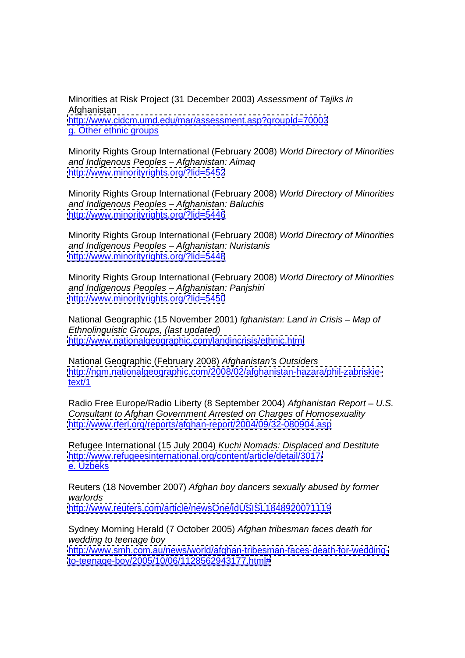Minorities at Risk Project (31 December 2003) Assessment of Tajiks in Afghanistan <http://www.cidcm.umd.edu/mar/assessment.asp?groupId=70003> g. Other ethnic groups

Minority Rights Group International (February 2008) World Directory of Minorities and Indigenous Peoples - Afghanistan: Aimag <http://www.minorityrights.org/?lid=5452>

Minority Rights Group International (February 2008) World Directory of Minorities and Indigenous Peoples - Afghanistan: Baluchis <http://www.minorityrights.org/?lid=5446>

Minority Rights Group International (February 2008) World Directory of Minorities and Indigenous Peoples - Afghanistan: Nuristanis <http://www.minorityrights.org/?lid=5448>

Minority Rights Group International (February 2008) World Directory of Minorities and Indigenous Peoples - Afghanistan: Panjshiri <http://www.minorityrights.org/?lid=5450>

National Geographic (15 November 2001) fghanistan: Land in Crisis - Map of Ethnolinguistic Groups, (last updated) <http://www.nationalgeographic.com/landincrisis/ethnic.html>

National Geographic (February 2008) Afghanistan's Outsiders [http://ngm.nationalgeographic.com/2008/02/afghanistan-hazara/phil-zabriskie](http://ngm.nationalgeographic.com/2008/02/afghanistan-hazara/phil-zabriskie-)text/1

Radio Free Europe/Radio Liberty (8 September 2004) Afghanistan Report - U.S. Consultant to Afghan Government Arrested on Charges of Homosexuality <http://www.rferl.org/reports/afghan-report/2004/09/32-080904.asp>

Refugee International (15 July 2004) Kuchi Nomads: Displaced and Destitute <http://www.refugeesinternational.org/content/article/detail/3017/> e. Uzbeks and the state of the state of the state of the state of the state of the state of the state of the state of the state of the state of the state of the state of the state of the state of the state of the state of

Reuters (18 November 2007) Afghan boy dancers sexually abused by former warlords **ware and the contract of the contract of the contract of the contract of the contract of the contract of the contract of the contract of the contract of the contract of the contract of the contract of the contrac** <http://www.reuters.com/article/newsOne/idUSISL1848920071119>

Sydney Morning Herald (7 October 2005) Afghan tribesman faces death for wedding to teenage boy and the state of the state of the state of the state of the state of the state of the state of the state of the state of the state of the state of the state of the state of the state of the state of [http://www.smh.com.au/news/world/afghan-tribesman-faces-death-for-wedding](http://www.smh.com.au/news/world/afghan-tribesman-faces-death-for-wedding-)<to-teenage-boy/2005/10/06/1128562943177.html#>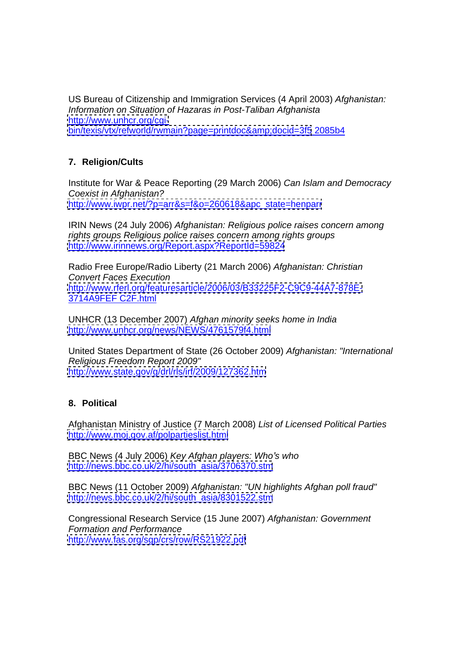US Bureau of Citizenship and Immigration Services (4 April 2003) Afghanistan: Information on Situation of Hazaras in Post-Taliban Afghanista [http://www.unhcr.org/cgi](http://www.unhcr.org/cgi-) bin/texis/vtx/refworld/rwmain?page=printdoc&amp:docid=3f5 2085b4

# **7. Religion/Cults**

Institute for War & Peace Reporting (29 March 2006) Can Islam and Democracy Coexist in Afghanistan? [http://www.iwpr.net/?p=arr&s=f&o=260618&apc\\_state=henparr](http://www.iwpr.net/?p=arr&s=f&o=260618&apc_state=henparr)

IRIN News (24 July 2006) Afghanistan: Religious police raises concern among rights groups Religious police raises concern among rights groups <http://www.irinnews.org/Report.aspx?ReportId=59824>

Radio Free Europe/Radio Liberty (21 March 2006) Afghanistan: Christian Convert Faces Execution <http://www.rferl.org/featuresarticle/2006/03/B33225F2-C9C9-44A7-878E-> 3714A9FEF C2F.html

UNHCR (13 December 2007) Afghan minority seeks home in India <http://www.unhcr.org/news/NEWS/4761579f4.html>

United States Department of State (26 October 2009) Afghanistan: "International Religious Freedom Report 2009" <http://www.state.gov/g/drl/rls/irf/2009/127362.htm>

# **8. Political**

Afghanistan Ministry of Justice (7 March 2008) List of Licensed Political Parties <http://www.moj.gov.af/polpartieslist.html>

BBC News (4 July 2006) Key Afghan players: Who's who [http://news.bbc.co.uk/2/hi/south\\_asia/3706370.stm](http://news.bbc.co.uk/2/hi/south_asia/3706370.stm)

BBC News (11 October 2009) Afghanistan: "UN highlights Afghan poll fraud" [http://news.bbc.co.uk/2/hi/south\\_asia/8301522.stm](http://news.bbc.co.uk/2/hi/south_asia/8301522.stm)

Congressional Research Service (15 June 2007) Afghanistan: Government Formation and Performance <http://www.fas.org/sgp/crs/row/RS21922.pdf>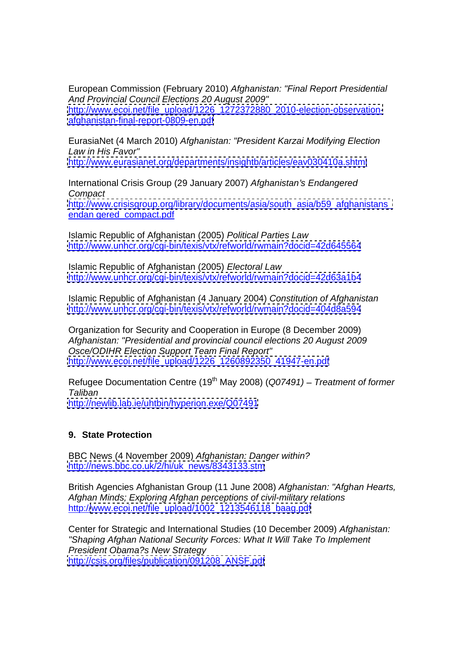European Commission (February 2010) Afghanistan: "Final Report Presidential And Provincial Council Elections 20 August 2009" [http://www.ecoi.net/file\\_upload/1226\\_1272372880\\_2010-election-observation](http://www.ecoi.net/file_upload/1226_1272372880_2010-election-observation-) <afghanistan-final-report-0809-en.pdf>

EurasiaNet (4 March 2010) Afghanistan: "President Karzai Modifying Election Law in His Favor" <http://www.eurasianet.org/departments/insightb/articles/eav030410a.shtml>

International Crisis Group (29 January 2007) Afghanistan's Endangered

**Compact** commercial contract contract commercial contract contract contract contract contract contract contract contract contract contract contract contract contract contract contract contract contract contract contract c http://www.crisisgroup.org/library/documents/asia/south\_asia/b59\_afghanistans endan gered\_compact.pdf

Islamic Republic of Afghanistan (2005) Political Parties Law <http://www.unhcr.org/cgi-bin/texis/vtx/refworld/rwmain?docid=42d645564>

Islamic Republic of Afghanistan (2005) Electoral Law <http://www.unhcr.org/cgi-bin/texis/vtx/refworld/rwmain?docid=42d63a1b4>

Islamic Republic of Afghanistan (4 January 2004) Constitution of Afghanistan <http://www.unhcr.org/cgi-bin/texis/vtx/refworld/rwmain?docid=404d8a594>

Organization for Security and Cooperation in Europe (8 December 2009) Afghanistan: "Presidential and provincial council elections 20 August 2009 Osce/ODIHR Election Support Team Final Report" [http://www.ecoi.net/file\\_upload/1226\\_1260892350\\_41947-en.pdf](http://www.ecoi.net/file_upload/1226_1260892350_41947-en.pdf)

Refugee Documentation Centre (19<sup>th</sup> May 2008) (Q07491) – Treatment of former Taliban and the state of the state of the state of the state of the state of the state of the state of the state of the state of the state of the state of the state of the state of the state of the state of the state of th

<http://newlib.lab.ie/uhtbin/hyperion.exe/Q07491>

## **9. State Protection**

BBC News (4 November 2009) Afghanistan: Danger within? [http://news.bbc.co.uk/2/hi/uk\\_news/8343133.stm](http://news.bbc.co.uk/2/hi/uk_news/8343133.stm)

British Agencies Afghanistan Group (11 June 2008) Afghanistan: "Afghan Hearts, Afghan Minds; Exploring Afghan perceptions of civil-military relations http:/[/www.ecoi.net/file\\_upload/1002\\_1213546118\\_baag.pdf](http://www.ecoi.net/file_upload/1002_1213546118_baag.pdf)

Center for Strategic and International Studies (10 December 2009) Afghanistan: "Shaping Afghan National Security Forces: What It Will Take To Implement President Obama?s New Strategy [http://csis.org/files/publication/091208\\_ANSF.pdf](http://csis.org/files/publication/091208_ANSF.pdf)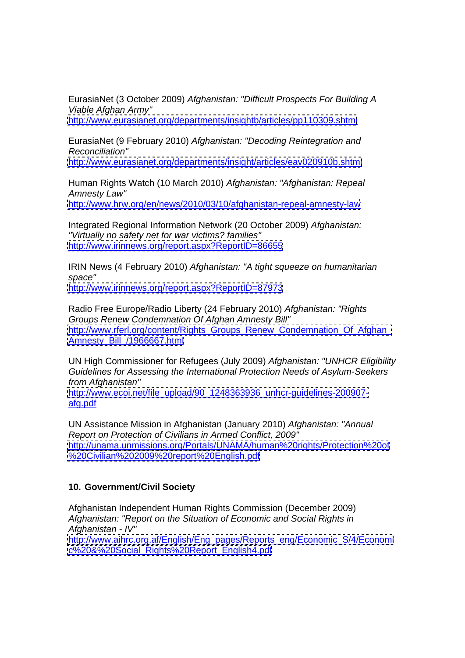EurasiaNet (3 October 2009) Afghanistan: "Difficult Prospects For Building A Viable Afghan Army"

<http://www.eurasianet.org/departments/insightb/articles/pp110309.shtml>

EurasiaNet (9 February 2010) Afghanistan: "Decoding Reintegration and Reconciliation"

<http://www.eurasianet.org/departments/insight/articles/eav020910b.shtml>

Human Rights Watch (10 March 2010) Afghanistan: "Afghanistan: Repeal Amnesty Law" <http://www.hrw.org/en/news/2010/03/10/afghanistan-repeal-amnesty-law>

Integrated Regional Information Network (20 October 2009) Afghanistan: "Virtually no safety net for war victims? families" <http://www.irinnews.org/report.aspx?ReportID=86655>

IRIN News (4 February 2010) Afghanistan: "A tight squeeze on humanitarian space" **Supervisors** which is a strong space of the structure of the structure of the structure of the structure of the structure of the structure of the structure of the structure of the structure of the structure of the <http://www.irinnews.org/report.aspx?ReportID=87973>

Radio Free Europe/Radio Liberty (24 February 2010) Afghanistan: "Rights Groups Renew Condemnation Of Afghan Amnesty Bill" http://www.rferl.org/content/Rights\_Groups\_Renew\_Condemnation\_Of\_Afghan [Amnesty\\_Bill\\_/1966667.html](Amnesty_Bill_/1966667.html)

UN High Commissioner for Refugees (July 2009) Afghanistan: "UNHCR Eligibility Guidelines for Assessing the International Protection Needs of Asylum-Seekers from Afghanistan"

[http://www.ecoi.net/file\\_upload/90\\_1248363936\\_unhcr-guidelines-200907](http://www.ecoi.net/file_upload/90_1248363936_unhcr-guidelines-200907-) afg.pdf

UN Assistance Mission in Afghanistan (January 2010) Afghanistan: "Annual Report on Protection of Civilians in Armed Conflict, 2009" <http://unama.unmissions.org/Portals/UNAMA/human%20rights/Protection%20of> <%20Civilian%202009%20report%20English.pdf>

## **10. Government/Civil Society**

Afghanistan Independent Human Rights Commission (December 2009) Afghanistan: "Report on the Situation of Economic and Social Rights in Afghanistan - IV" [http://www.aihrc.org.af/English/Eng\\_pages/Reports\\_eng/Economic\\_S/4/Economi](http://www.aihrc.org.af/English/Eng_pages/Reports_eng/Economic_S/4/Economi) [c%20&%20Social\\_Rights%20Report\\_English4.pdf](c%20&%20Social_Rights%20Report_English4.pdf)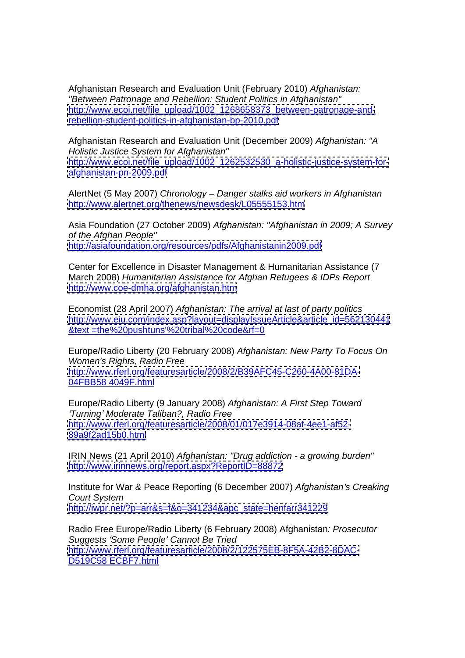Afghanistan Research and Evaluation Unit (February 2010) Afghanistan: "Between Patronage and Rebellion: Student Politics in Afghanistan" [http://www.ecoi.net/file\\_upload/1002\\_1268658373\\_between-patronage-and](http://www.ecoi.net/file_upload/1002_1268658373_between-patronage-and-)<rebellion-student-politics-in-afghanistan-bp-2010.pdf>

Afghanistan Research and Evaluation Unit (December 2009) Afghanistan: "A Holistic Justice System for Afghanistan" [http://www.ecoi.net/file\\_upload/1002\\_1262532530\\_a-holistic-justice-system-for](http://www.ecoi.net/file_upload/1002_1262532530_a-holistic-justice-system-for-) <afghanistan-pn-2009.pdf>

AlertNet (5 May 2007) Chronology - Danger stalks aid workers in Afghanistan <http://www.alertnet.org/thenews/newsdesk/L05555153.htm>

Asia Foundation (27 October 2009) Afghanistan: "Afghanistan in 2009; A Survey of the Afghan People" <http://asiafoundation.org/resources/pdfs/Afghanistanin2009.pdf>

Center for Excellence in Disaster Management & Humanitarian Assistance (7 March 2008) Humanitarian Assistance for Afghan Refugees & IDPs Report <http://www.coe-dmha.org/afghanistan.htm>

Economist (28 April 2007) Afghanistan: The arrival at last of party politics [http://www.eiu.com/index.asp?layout=displayIssueArticle&article\\_id=562130441](http://www.eiu.com/index.asp?layout=displayIssueArticle&article_id=562130441) &text =the%20pushtuns'%20tribal%20code&rf=0

Europe/Radio Liberty (20 February 2008) Afghanistan: New Party To Focus On Women's Rights, Radio Free <http://www.rferl.org/featuresarticle/2008/2/B39AFC45-C260-4A00-81DA-> 04FBB58 4049F.html

Europe/Radio Liberty (9 January 2008) Afghanistan: A First Step Toward 'Turning' Moderate Taliban?, Radio Free <http://www.rferl.org/featuresarticle/2008/01/017e3914-08af-4ee1-af52-> <89a9f2ad15b0.html>

IRIN News (21 April 2010) Afghanistan: "Drug addiction - a growing burden" <http://www.irinnews.org/report.aspx?ReportID=88872>

Institute for War & Peace Reporting (6 December 2007) Afghanistan's Creaking **Court System and System and System and System and System and System and System and System and System and System and System and System and System and System and System and System and System and System and System and System** [http://iwpr.net/?p=arr&s=f&o=341234&apc\\_state=henfarr341229](http://iwpr.net/?p=arr&s=f&o=341234&apc_state=henfarr341229)

Radio Free Europe/Radio Liberty (6 February 2008) Afghanistan: Prosecutor Suggests 'Some People' Cannot Be Tried <http://www.rferl.org/featuresarticle/2008/2/122575EB-8F5A-42B2-8DAC-> D519C58 ECBF7.html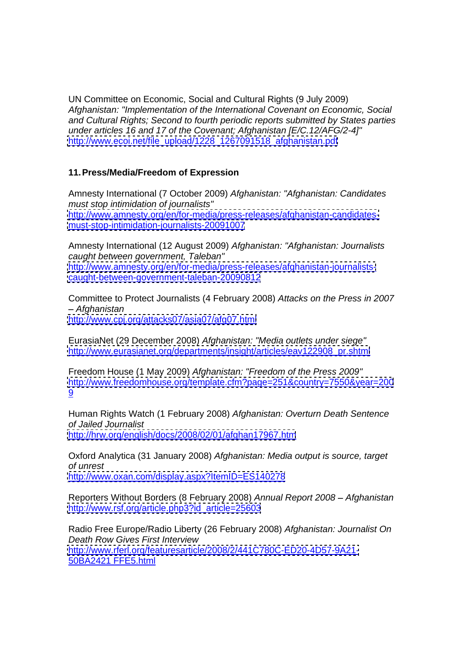UN Committee on Economic, Social and Cultural Rights (9 July 2009) Afghanistan: "Implementation of the International Covenant on Economic, Social and Cultural Rights; Second to fourth periodic reports submitted by States parties under articles 16 and 17 of the Covenant; Afghanistan [E/C.12/AFG/2-4]" [http://www.ecoi.net/file\\_upload/1228\\_1267091518\\_afghanistan.pdf](http://www.ecoi.net/file_upload/1228_1267091518_afghanistan.pdf)

## **11.Press/Media/Freedom of Expression**

Amnesty International (7 October 2009) Afghanistan: "Afghanistan: Candidates must stop intimidation of journalists" [http://www.amnesty.org/en/for-media/press-releases/afghanistan-candidates](http://www.amnesty.org/en/for-media/press-releases/afghanistan-candidates-) <must-stop-intimidation-journalists-20091007>

Amnesty International (12 August 2009) Afghanistan: "Afghanistan: Journalists caught between government, Taleban" [http://www.amnesty.org/en/for-media/press-releases/afghanistan-journalists](http://www.amnesty.org/en/for-media/press-releases/afghanistan-journalists-) <caught-between-government-taleban-20090812>

Committee to Protect Journalists (4 February 2008) Attacks on the Press in 2007 Afghanistan <http://www.cpj.org/attacks07/asia07/afg07.html>

EurasiaNet (29 December 2008) Afghanistan: "Media outlets under siege" [http://www.eurasianet.org/departments/insight/articles/eav122908\\_pr.shtml](http://www.eurasianet.org/departments/insight/articles/eav122908_pr.shtml)

Freedom House (1 May 2009) Afghanistan: "Freedom of the Press 2009" <http://www.freedomhouse.org/template.cfm?page=251&country=7550&year=200> <u>9</u>

Human Rights Watch (1 February 2008) Afghanistan: Overturn Death Sentence of Jailed Journalist <http://hrw.org/english/docs/2008/02/01/afghan17967.htm>

Oxford Analytica (31 January 2008) Afghanistan: Media output is source, target of unrest <http://www.oxan.com/display.aspx?ItemID=ES140278>

Reporters Without Borders (8 February 2008) Annual Report 2008 - Afghanistan [http://www.rsf.org/article.php3?id\\_article=25603](http://www.rsf.org/article.php3?id_article=25603)

Radio Free Europe/Radio Liberty (26 February 2008) Afghanistan: Journalist On Death Row Gives First Interview <http://www.rferl.org/featuresarticle/2008/2/441C780C-ED20-4D57-9A21-> 50BA2421 FFE5.html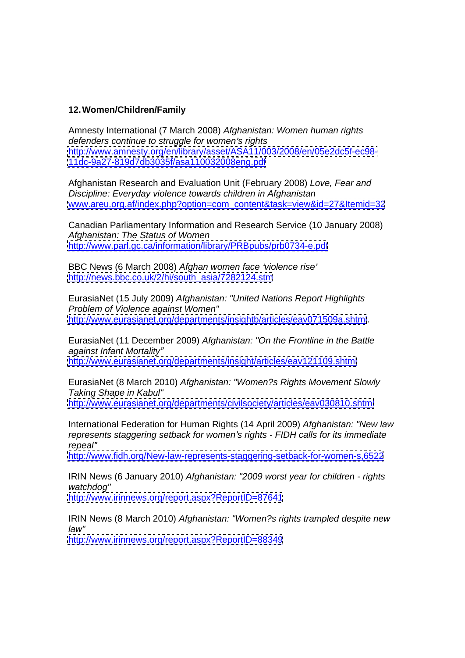## **12.Women/Children/Family**

Amnesty International (7 March 2008) Afghanistan: Women human rights defenders continue to struggle for women's rights <http://www.amnesty.org/en/library/asset/ASA11/003/2008/en/05e2dc5f-ec98-> <11dc-9a27-819d7db3035f/asa110032008eng.pdf>

Afghanistan Research and Evaluation Unit (February 2008) Love, Fear and Discipline: Everyday violence towards children in Afghanistan [www.areu.org.af/index.php?option=com\\_content&task=view&id=27&Itemid=32](http://www.areu.org.af/index.php?option=com_content&task=view&id=27&Itemid=32)

Canadian Parliamentary Information and Research Service (10 January 2008) Afghanistan: The Status of Women <http://www.parl.gc.ca/information/library/PRBpubs/prb0734-e.pdf>

BBC News (6 March 2008) Afghan women face 'violence rise' [http://news.bbc.co.uk/2/hi/south\\_asia/7282124.stm](http://news.bbc.co.uk/2/hi/south_asia/7282124.stm)

EurasiaNet (15 July 2009) Afghanistan: "United Nations Report Highlights Problem of Violence against Women" <http://www.eurasianet.org/departments/insightb/articles/eav071509a.shtml>.

EurasiaNet (11 December 2009) Afghanistan: "On the Frontline in the Battle against Infant Mortality <http://www.eurasianet.org/departments/insight/articles/eav121109.shtml>

EurasiaNet (8 March 2010) Afghanistan: "Women?s Rights Movement Slowly Taking Shape in Kabul"

<http://www.eurasianet.org/departments/civilsociety/articles/eav030810.shtml>

International Federation for Human Rights (14 April 2009) Afghanistan: "New law represents staggering setback for women's rights - FIDH calls for its immediate repeal" **communities** and the communities of the communities of the communities of the communities of the communities of the communities of the communities of the communities of the communities of the communities of the co

<http://www.fidh.org/New-law-represents-staggering-setback-for-women-s,6522>

IRIN News (6 January 2010) Afghanistan: "2009 worst year for children - rights watchdog" **watchdog** and the second second second second second second second second second second second second second second second second second second second second second second second second second second second seco

<http://www.irinnews.org/report.aspx?ReportID=87641>

IRIN News (8 March 2010) Afghanistan: "Women?s rights trampled despite new law"

<http://www.irinnews.org/report.aspx?ReportID=88349>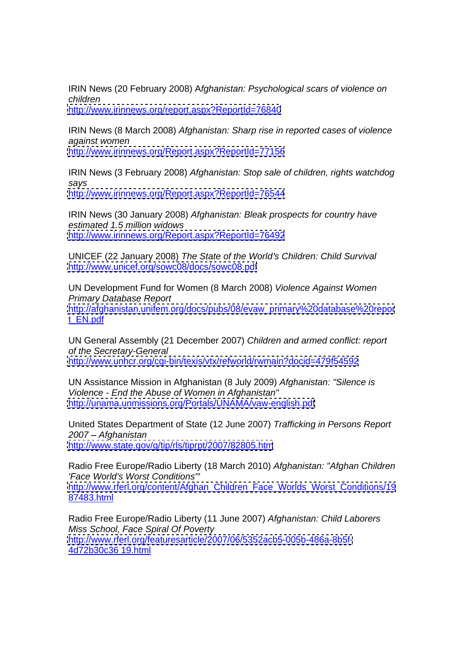IRIN News (20 February 2008) Afghanistan: Psychological scars of violence on children

<http://www.irinnews.org/report.aspx?ReportId=76840>

IRIN News (8 March 2008) Afghanistan: Sharp rise in reported cases of violence against women <http://www.irinnews.org/Report.aspx?ReportId=77156>

IRIN News (3 February 2008) Afghanistan: Stop sale of children, rights watchdog says and the same of the same of the same of the same of the same of the same of the same of the same of the s

<http://www.irinnews.org/Report.aspx?ReportId=76544>

IRIN News (30 January 2008) Afghanistan: Bleak prospects for country have estimated 1.5 million widows <http://www.irinnews.org/Report.aspx?ReportId=76492>

UNICEF (22 January 2008) The State of the World's Children: Child Survival <http://www.unicef.org/sowc08/docs/sowc08.pdf>

UN Development Fund for Women (8 March 2008) Violence Against Women Primary Database Report [http://afghanistan.unifem.org/docs/pubs/08/evaw\\_primary%20database%20repor](http://afghanistan.unifem.org/docs/pubs/08/evaw_primary%20database%20repor) t\_EN.pdf

UN General Assembly (21 December 2007) Children and armed conflict: report of the Secretary-General <http://www.unhcr.org/cgi-bin/texis/vtx/refworld/rwmain?docid=479f54592>

UN Assistance Mission in Afghanistan (8 July 2009) Afghanistan: "Silence is Violence - End the Abuse of Women in Afghanistan" <http://unama.unmissions.org/Portals/UNAMA/vaw-english.pdf>

United States Department of State (12 June 2007) Trafficking in Persons Report 2007 Afghanistan <http://www.state.gov/g/tip/rls/tiprpt/2007/82805.htm>

Radio Free Europe/Radio Liberty (18 March 2010) Afghanistan: "Afghan Children 'Face World's Worst Conditions'" [http://www.rferl.org/content/Afghan\\_Children\\_Face\\_Worlds\\_Worst\\_Conditions/19](http://www.rferl.org/content/Afghan_Children_Face_Worlds_Worst_Conditions/19) 87483.html

Radio Free Europe/Radio Liberty (11 June 2007) Afghanistan: Child Laborers Miss School, Face Spiral Of Poverty <http://www.rferl.org/featuresarticle/2007/06/5352acb5-005b-486a-8b5f-> 4d72b30c36 19.html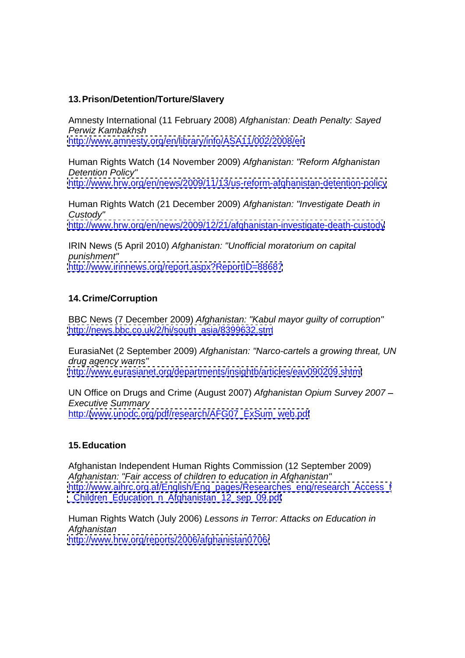## **13.Prison/Detention/Torture/Slavery**

Amnesty International (11 February 2008) Afghanistan: Death Penalty: Sayed Perwiz Kambakhsh <http://www.amnesty.org/en/library/info/ASA11/002/2008/en>

Human Rights Watch (14 November 2009) Afghanistan: "Reform Afghanistan Detention Policy" <http://www.hrw.org/en/news/2009/11/13/us-reform-afghanistan-detention-policy>

Human Rights Watch (21 December 2009) Afghanistan: "Investigate Death in Custody"

<http://www.hrw.org/en/news/2009/12/21/afghanistan-investigate-death-custody>

IRIN News (5 April 2010) Afghanistan: "Unofficial moratorium on capital punishment" <http://www.irinnews.org/report.aspx?ReportID=88687>

## **14.Crime/Corruption**

BBC News (7 December 2009) Afghanistan: "Kabul mayor guilty of corruption" [http://news.bbc.co.uk/2/hi/south\\_asia/8399632.stm](http://news.bbc.co.uk/2/hi/south_asia/8399632.stm)

EurasiaNet (2 September 2009) Afghanistan: "Narco-cartels a growing threat, UN drug agency warns" <http://www.eurasianet.org/departments/insightb/articles/eav090209.shtml>

UN Office on Drugs and Crime (August 2007) Afghanistan Opium Survey 2007 Executive Summary **Executive Summary** http:/[/www.unodc.org/pdf/research/AFG07\\_ExSum\\_web.pdf](http://www.unodc.org/pdf/research/AFG07_ExSum_web.pdf)

### **15.Education**

Afghanistan Independent Human Rights Commission (12 September 2009) Afghanistan: "Fair access of children to education in Afghanistan" [http://www.aihrc.org.af/English/Eng\\_pages/Researches\\_eng/research\\_Access\\_f](http://www.aihrc.org.af/English/Eng_pages/Researches_eng/research_Access_f) [\\_Children\\_Education\\_n\\_Afghanistan\\_12\\_sep\\_09.pdf](_Children_Education_n_Afghanistan_12_sep_09.pdf)

Human Rights Watch (July 2006) Lessons in Terror: Attacks on Education in Afghanistan <http://www.hrw.org/reports/2006/afghanistan0706/>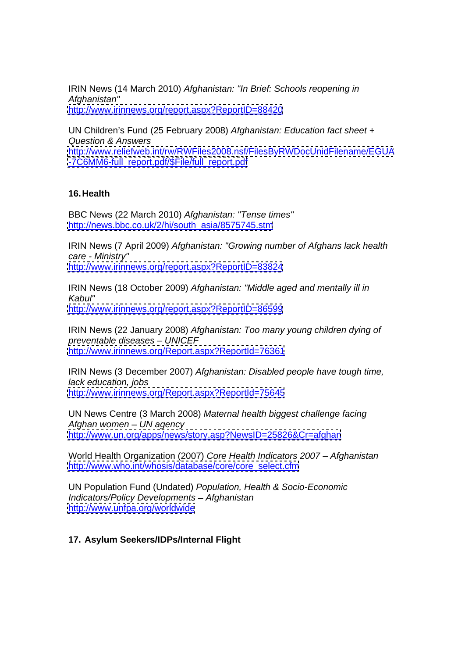IRIN News (14 March 2010) Afghanistan: "In Brief: Schools reopening in Afghanistan" <http://www.irinnews.org/report.aspx?ReportID=88420>

UN Children's Fund (25 February 2008) Afghanistan: Education fact sheet + Question & Answers <http://www.reliefweb.int/rw/RWFiles2008.nsf/FilesByRWDocUnidFilename/EGUA>

[-7C6MM6-full\\_report.pdf/\\$File/full\\_report.pdf](-7C6MM6-full_report.pdf/$File/full_report.pdf)

## **16.Health**

BBC News (22 March 2010) Afghanistan: "Tense times" [http://news.bbc.co.uk/2/hi/south\\_asia/8575745.stm](http://news.bbc.co.uk/2/hi/south_asia/8575745.stm)

IRIN News (7 April 2009) Afghanistan: "Growing number of Afghans lack health care - Ministry"

<http://www.irinnews.org/report.aspx?ReportID=83824>

IRIN News (18 October 2009) Afghanistan: "Middle aged and mentally ill in Kabul" <http://www.irinnews.org/report.aspx?ReportID=86599>

IRIN News (22 January 2008) Afghanistan: Too many young children dying of preventable diseases - UNICEF <http://www.irinnews.org/Report.aspx?ReportId=76361>

IRIN News (3 December 2007) Afghanistan: Disabled people have tough time, lack education, jobs <http://www.irinnews.org/Report.aspx?ReportId=75645>

UN News Centre (3 March 2008) Maternal health biggest challenge facing Afghan women  $-$  UN agency <http://www.un.org/apps/news/story.asp?NewsID=25826&Cr=afghan>

World Health Organization (2007) Core Health Indicators 2007 - Afghanistan [http://www.who.int/whosis/database/core/core\\_select.cfm](http://www.who.int/whosis/database/core/core_select.cfm)

UN Population Fund (Undated) Population, Health & Socio-Economic Indicators/Policy Developments - Afghanistan <http://www.unfpa.org/worldwide>

## **17. Asylum Seekers/IDPs/Internal Flight**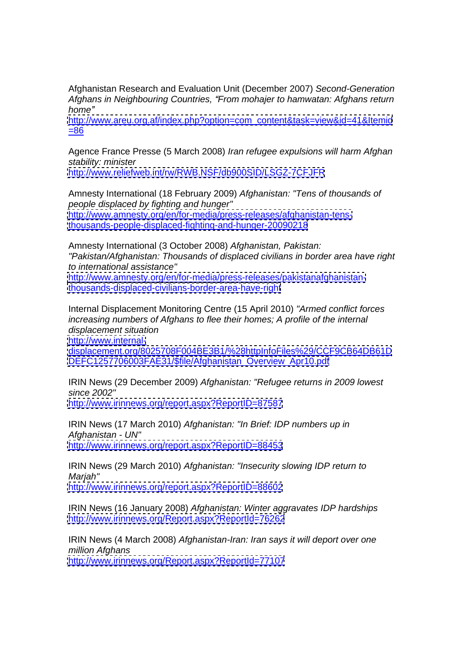Afghanistan Research and Evaluation Unit (December 2007) Second-Generation Afghans in Neighbouring Countries, "From mohajer to hamwatan: Afghans return home" when the contract of the contract of the contract of the contract of the contract of the contract of the contract of the contract of the contract of the contract of the contract of the contract of the contract of the

[http://www.areu.org.af/index.php?option=com\\_content&task=view&id=41&Itemid](http://www.areu.org.af/index.php?option=com_content&task=view&id=41&Itemid)  $\frac{-86}{1}$ 

Agence France Presse (5 March 2008) Iran refugee expulsions will harm Afghan stability: minister

<http://www.reliefweb.int/rw/RWB.NSF/db900SID/LSGZ-7CFJFR>

Amnesty International (18 February 2009) Afghanistan: "Tens of thousands of people displaced by fighting and hunger" [http://www.amnesty.org/en/for-media/press-releases/afghanistan-tens](http://www.amnesty.org/en/for-media/press-releases/afghanistan-tens-)<thousands-people-displaced-fighting-and-hunger-20090218>

Amnesty International (3 October 2008) Afghanistan, Pakistan: "Pakistan/Afghanistan: Thousands of displaced civilians in border area have right to international assistance" <http://www.amnesty.org/en/for-media/press-releases/pakistanafghanistan->

<thousands-displaced-civilians-border-area-have-right>

Internal Displacement Monitoring Centre (15 April 2010) "Armed conflict forces increasing numbers of Afghans to flee their homes; A profile of the internal displacement situation

<http://www.internal->

<displacement.org/8025708F004BE3B1/%28httpInfoFiles%29/CCF9CB64DB61D> [DEFC1257706003FAE31/\\$file/Afghanistan\\_Overview\\_Apr10.pdf](DEFC1257706003FAE31/$file/Afghanistan_Overview_Apr10.pdf)

IRIN News (29 December 2009) Afghanistan: "Refugee returns in 2009 lowest since 2002"

<http://www.irinnews.org/report.aspx?ReportID=87587>

IRIN News (17 March 2010) Afghanistan: "In Brief: IDP numbers up in Afghanistan - UN" <http://www.irinnews.org/report.aspx?ReportID=88453>

IRIN News (29 March 2010) Afghanistan: "Insecurity slowing IDP return to Marjah" <http://www.irinnews.org/report.aspx?ReportID=88602>

IRIN News (16 January 2008) Afghanistan: Winter aggravates IDP hardships <http://www.irinnews.org/Report.aspx?ReportId=76262>

IRIN News (4 March 2008) Afghanistan-Iran: Iran says it will deport over one million Afghans <http://www.irinnews.org/Report.aspx?ReportId=77107>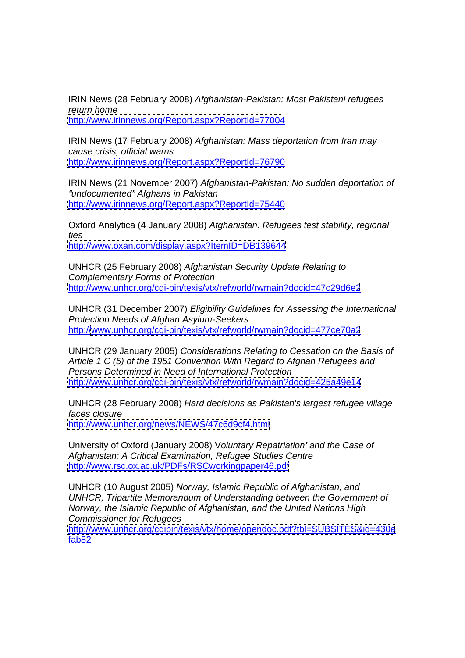IRIN News (28 February 2008) Afghanistan-Pakistan: Most Pakistani refugees return home <http://www.irinnews.org/Report.aspx?ReportId=77004>

IRIN News (17 February 2008) Afghanistan: Mass deportation from Iran may cause crisis, official warns <http://www.irinnews.org/Report.aspx?ReportId=76790>

IRIN News (21 November 2007) Afghanistan-Pakistan: No sudden deportation of "undocumented" Afghans in Pakistan <http://www.irinnews.org/Report.aspx?ReportId=75440>

Oxford Analytica (4 January 2008) Afghanistan: Refugees test stability, regional ties <http://www.oxan.com/display.aspx?ItemID=DB139644>

UNHCR (25 February 2008) Afghanistan Security Update Relating to Complementary Forms of Protection <http://www.unhcr.org/cgi-bin/texis/vtx/refworld/rwmain?docid=47c29d6e2>

UNHCR (31 December 2007) Eligibility Guidelines for Assessing the International Protection Needs of Afghan Asylum-Seekers http:/[/www.unhcr.org/cgi-bin/texis/vtx/refworld/rwmain?docid=477ce70a2](http://www.unhcr.org/cgi-bin/texis/vtx/refworld/rwmain?docid=477ce70a2)

UNHCR (29 January 2005) Considerations Relating to Cessation on the Basis of Article 1 C (5) of the 1951 Convention With Regard to Afghan Refugees and Persons Determined in Need of International Protection <http://www.unhcr.org/cgi-bin/texis/vtx/refworld/rwmain?docid=425a49e14>

UNHCR (28 February 2008) Hard decisions as Pakistan's largest refugee village faces closure <http://www.unhcr.org/news/NEWS/47c6d9cf4.html>

University of Oxford (January 2008) Voluntary Repatriation' and the Case of Afghanistan: A Critical Examination, Refugee Studies Centre <http://www.rsc.ox.ac.uk/PDFs/RSCworkingpaper46.pdf>

UNHCR (10 August 2005) Norway, Islamic Republic of Afghanistan, and UNHCR, Tripartite Memorandum of Understanding between the Government of Norway, the Islamic Republic of Afghanistan, and the United Nations High Commissioner for Refugees

<http://www.unhcr.org/cgibin/texis/vtx/home/opendoc.pdf?tbl=SUBSITES&id=430a> fab82